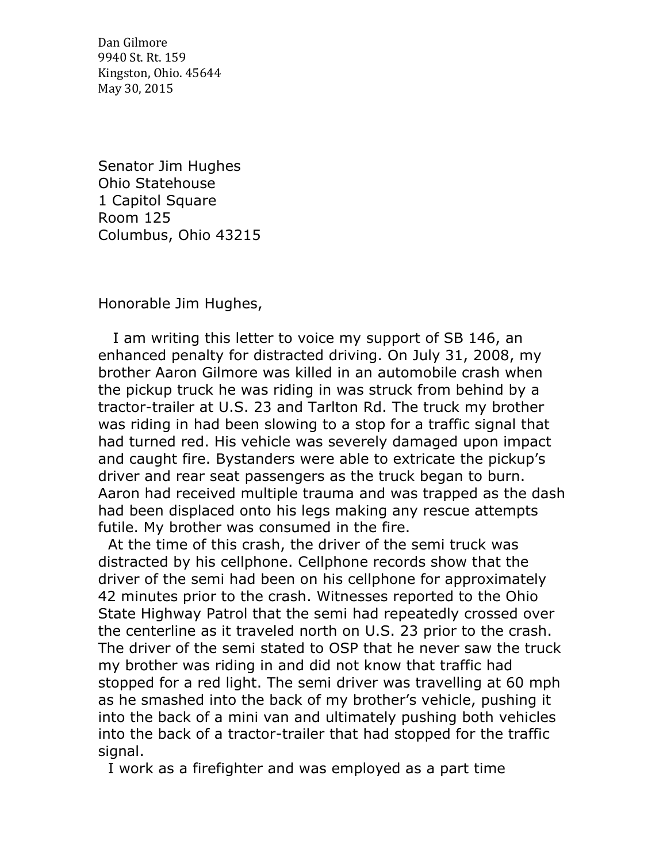Dan Gilmore 9940 St. Rt. 159 Kingston, Ohio. 45644 May 30, 2015

Senator Jim Hughes Ohio Statehouse 1 Capitol Square Room 125 Columbus, Ohio 43215

Honorable Jim Hughes,

 I am writing this letter to voice my support of SB 146, an enhanced penalty for distracted driving. On July 31, 2008, my brother Aaron Gilmore was killed in an automobile crash when the pickup truck he was riding in was struck from behind by a tractor-trailer at U.S. 23 and Tarlton Rd. The truck my brother was riding in had been slowing to a stop for a traffic signal that had turned red. His vehicle was severely damaged upon impact and caught fire. Bystanders were able to extricate the pickup's driver and rear seat passengers as the truck began to burn. Aaron had received multiple trauma and was trapped as the dash had been displaced onto his legs making any rescue attempts futile. My brother was consumed in the fire.

 At the time of this crash, the driver of the semi truck was distracted by his cellphone. Cellphone records show that the driver of the semi had been on his cellphone for approximately 42 minutes prior to the crash. Witnesses reported to the Ohio State Highway Patrol that the semi had repeatedly crossed over the centerline as it traveled north on U.S. 23 prior to the crash. The driver of the semi stated to OSP that he never saw the truck my brother was riding in and did not know that traffic had stopped for a red light. The semi driver was travelling at 60 mph as he smashed into the back of my brother's vehicle, pushing it into the back of a mini van and ultimately pushing both vehicles into the back of a tractor-trailer that had stopped for the traffic signal.

I work as a firefighter and was employed as a part time